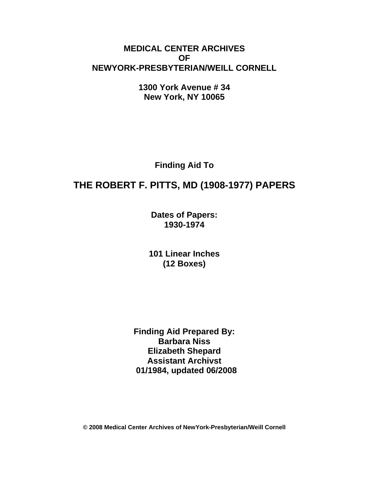# **MEDICAL CENTER ARCHIVES OF NEWYORK-PRESBYTERIAN/WEILL CORNELL**

**1300 York Avenue # 34 New York, NY 10065** 

**Finding Aid To** 

# **THE ROBERT F. PITTS, MD (1908-1977) PAPERS**

**Dates of Papers: 1930-1974**

**101 Linear Inches (12 Boxes)** 

**Finding Aid Prepared By: Barbara Niss Elizabeth Shepard Assistant Archivst 01/1984, updated 06/2008** 

**© 2008 Medical Center Archives of NewYork-Presbyterian/Weill Cornell**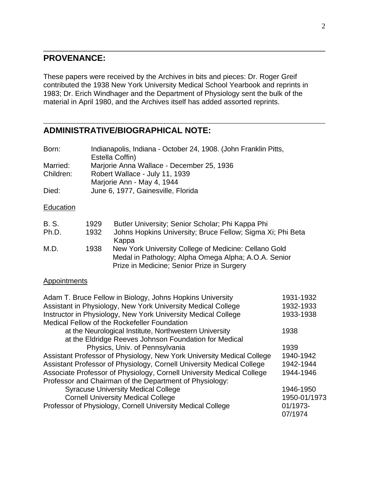### **PROVENANCE:**

These papers were received by the Archives in bits and pieces: Dr. Roger Greif contributed the 1938 New York University Medical School Yearbook and reprints in 1983; Dr. Erich Windhager and the Department of Physiology sent the bulk of the material in April 1980, and the Archives itself has added assorted reprints.

## **ADMINISTRATIVE/BIOGRAPHICAL NOTE:**

| Born:                 |              | Indianapolis, Indiana - October 24, 1908. (John Franklin Pitts,<br>Estella Coffin)                                      |
|-----------------------|--------------|-------------------------------------------------------------------------------------------------------------------------|
| Married:<br>Children: |              | Marjorie Anna Wallace - December 25, 1936<br>Robert Wallace - July 11, 1939<br>Marjorie Ann - May 4, 1944               |
| Died:                 |              | June 6, 1977, Gainesville, Florida                                                                                      |
| Education             |              |                                                                                                                         |
| <b>B.S.</b><br>Ph.D.  | 1929<br>1932 | Butler University; Senior Scholar; Phi Kappa Phi<br>Johns Hopkins University; Bruce Fellow; Sigma Xi; Phi Beta<br>Kappa |
| 11 D                  | ס ממ         | Nou Vark University College of Medicine: College Cold                                                                   |

| M.D. | 1938 | New York University College of Medicine: Cellano Gold |
|------|------|-------------------------------------------------------|
|      |      | Medal in Pathology; Alpha Omega Alpha; A.O.A. Senior  |
|      |      | Prize in Medicine: Senior Prize in Surgery            |

#### **Appointments**

| 1931-1932    |
|--------------|
| 1932-1933    |
| 1933-1938    |
|              |
| 1938         |
|              |
| 1939         |
| 1940-1942    |
| 1942-1944    |
| 1944-1946    |
|              |
| 1946-1950    |
| 1950-01/1973 |
| 01/1973-     |
| 07/1974      |
|              |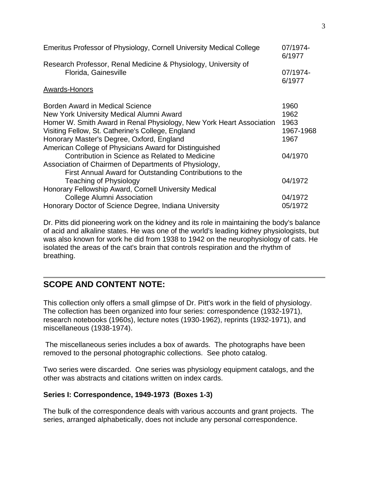| Emeritus Professor of Physiology, Cornell University Medical College                                                                                                                                                                                                                                            | 07/1974-<br>6/1977                        |
|-----------------------------------------------------------------------------------------------------------------------------------------------------------------------------------------------------------------------------------------------------------------------------------------------------------------|-------------------------------------------|
| Research Professor, Renal Medicine & Physiology, University of<br>Florida, Gainesville                                                                                                                                                                                                                          | 07/1974-<br>6/1977                        |
| Awards-Honors                                                                                                                                                                                                                                                                                                   |                                           |
| Borden Award in Medical Science<br>New York University Medical Alumni Award<br>Homer W. Smith Award in Renal Physiology, New York Heart Association<br>Visiting Fellow, St. Catherine's College, England<br>Honorary Master's Degree, Oxford, England<br>American College of Physicians Award for Distinguished | 1960<br>1962<br>1963<br>1967-1968<br>1967 |
| Contribution in Science as Related to Medicine<br>Association of Chairmen of Departments of Physiology,<br>First Annual Award for Outstanding Contributions to the                                                                                                                                              | 04/1970                                   |
| <b>Teaching of Physiology</b><br>Honorary Fellowship Award, Cornell University Medical                                                                                                                                                                                                                          | 04/1972                                   |
| <b>College Alumni Association</b>                                                                                                                                                                                                                                                                               | 04/1972                                   |
| Honorary Doctor of Science Degree, Indiana University                                                                                                                                                                                                                                                           | 05/1972                                   |

Dr. Pitts did pioneering work on the kidney and its role in maintaining the body's balance of acid and alkaline states. He was one of the world's leading kidney physiologists, but was also known for work he did from 1938 to 1942 on the neurophysiology of cats. He isolated the areas of the cat's brain that controls respiration and the rhythm of breathing.

# **SCOPE AND CONTENT NOTE:**

This collection only offers a small glimpse of Dr. Pitt's work in the field of physiology. The collection has been organized into four series: correspondence (1932-1971), research notebooks (1960s), lecture notes (1930-1962), reprints (1932-1971), and miscellaneous (1938-1974).

 The miscellaneous series includes a box of awards. The photographs have been removed to the personal photographic collections. See photo catalog.

Two series were discarded. One series was physiology equipment catalogs, and the other was abstracts and citations written on index cards.

#### **Series I: Correspondence, 1949-1973 (Boxes 1-3)**

The bulk of the correspondence deals with various accounts and grant projects. The series, arranged alphabetically, does not include any personal correspondence.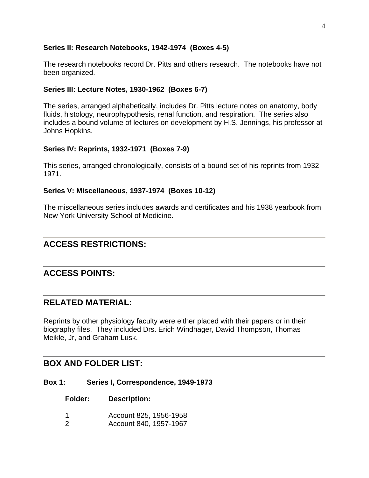#### **Series II: Research Notebooks, 1942-1974 (Boxes 4-5)**

The research notebooks record Dr. Pitts and others research. The notebooks have not been organized.

#### **Series III: Lecture Notes, 1930-1962 (Boxes 6-7)**

The series, arranged alphabetically, includes Dr. Pitts lecture notes on anatomy, body fluids, histology, neurophypothesis, renal function, and respiration. The series also includes a bound volume of lectures on development by H.S. Jennings, his professor at Johns Hopkins.

#### **Series IV: Reprints, 1932-1971 (Boxes 7-9)**

This series, arranged chronologically, consists of a bound set of his reprints from 1932- 1971.

#### **Series V: Miscellaneous, 1937-1974 (Boxes 10-12)**

The miscellaneous series includes awards and certificates and his 1938 yearbook from New York University School of Medicine.

### **ACCESS RESTRICTIONS:**

# **ACCESS POINTS:**

### **RELATED MATERIAL:**

Reprints by other physiology faculty were either placed with their papers or in their biography files. They included Drs. Erich Windhager, David Thompson, Thomas Meikle, Jr, and Graham Lusk.

### **BOX AND FOLDER LIST:**

#### **Box 1: Series I, Correspondence, 1949-1973**

**Folder: Description:** 

- 1 Account 825, 1956-1958
- 2 Account 840, 1957-1967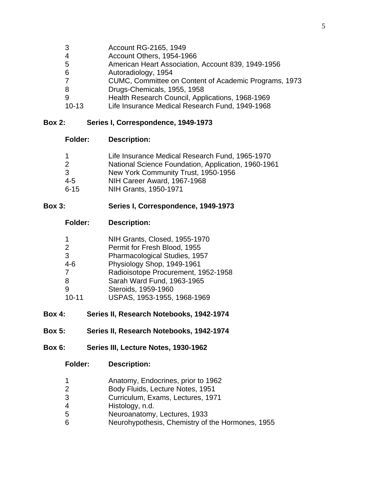- 3 Account RG-2165, 1949
- 4 Account Others, 1954-1966
- 5 American Heart Association, Account 839, 1949-1956
- 6 **Autoradiology, 1954**<br>7 CUMC, Committee o
- 7 CUMC, Committee on Content of Academic Programs, 1973
- 8 Drugs-Chemicals, 1955, 1958
- 9 Health Research Council, Applications, 1968-1969
- 10-13 Life Insurance Medical Research Fund, 1949-1968

#### **Box 2: Series I, Correspondence, 1949-1973**

#### **Folder: Description:**

| 1        | Life Insurance Medical Research Fund, 1965-1970     |
|----------|-----------------------------------------------------|
| 2        | National Science Foundation, Application, 1960-1961 |
| 3        | New York Community Trust, 1950-1956                 |
| 4-5      | NIH Career Award, 1967-1968                         |
| $6 - 15$ | NIH Grants, 1950-1971                               |

#### **Box 3: Series I, Correspondence, 1949-1973**

**Folder: Description:** 

| $\mathbf 1$ | NIH Grants, Closed, 1955-1970       |
|-------------|-------------------------------------|
| 2           | Permit for Fresh Blood, 1955        |
| 3           | Pharmacological Studies, 1957       |
| $4 - 6$     | Physiology Shop, 1949-1961          |
| 7           | Radioisotope Procurement, 1952-1958 |
| 8           | Sarah Ward Fund, 1963-1965          |
| 9           | Steroids, 1959-1960                 |
| $10 - 11$   | USPAS, 1953-1955, 1968-1969         |

- **Box 4: Series II, Research Notebooks, 1942-1974**
- **Box 5: Series II, Research Notebooks, 1942-1974**
- **Box 6: Series III, Lecture Notes, 1930-1962**

**Folder: Description:** 

- 1 Anatomy, Endocrines, prior to 1962
- 2 Body Fluids, Lecture Notes, 1951
- 3 Curriculum, Exams, Lectures, 1971
- 4 Histology, n.d.
- 5 Neuroanatomy, Lectures, 1933
- 6 Neurohypothesis, Chemistry of the Hormones, 1955